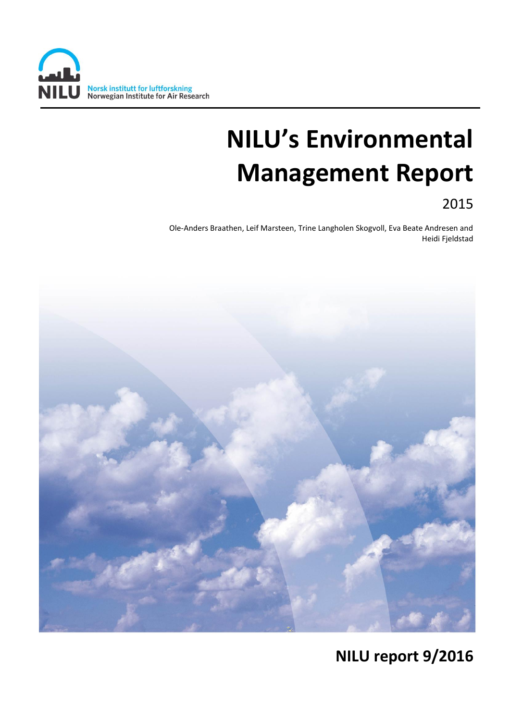

# **NILU's Environmental Management Report**

2015

Ole-Anders Braathen, Leif Marsteen, Trine Langholen Skogvoll, Eva Beate Andresen and Heidi Fjeldstad



# **NILU report 9/2016**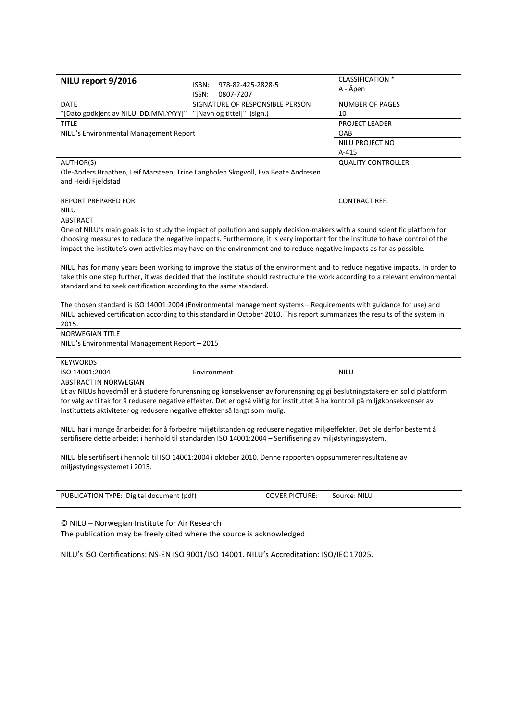| NILU report 9/2016                                                                                                              |                                                                    |                       | <b>CLASSIFICATION *</b>   |  |  |  |  |
|---------------------------------------------------------------------------------------------------------------------------------|--------------------------------------------------------------------|-----------------------|---------------------------|--|--|--|--|
|                                                                                                                                 | ISBN:<br>978-82-425-2828-5                                         |                       | A - Åpen                  |  |  |  |  |
| <b>DATE</b>                                                                                                                     | 0807-7207<br>ISSN:<br>SIGNATURE OF RESPONSIBLE PERSON              |                       | <b>NUMBER OF PAGES</b>    |  |  |  |  |
|                                                                                                                                 |                                                                    |                       | 10                        |  |  |  |  |
| <b>TITLE</b>                                                                                                                    | "[Navn og tittel]" (sign.)<br>"[Dato godkjent av NILU DD.MM.YYYY]" |                       |                           |  |  |  |  |
|                                                                                                                                 |                                                                    | PROJECT LEADER<br>OAB |                           |  |  |  |  |
| NILU's Environmental Management Report                                                                                          |                                                                    |                       | NILU PROJECT NO           |  |  |  |  |
|                                                                                                                                 |                                                                    | A-415                 |                           |  |  |  |  |
| AUTHOR(S)                                                                                                                       |                                                                    |                       | <b>QUALITY CONTROLLER</b> |  |  |  |  |
| Ole-Anders Braathen, Leif Marsteen, Trine Langholen Skogvoll, Eva Beate Andresen                                                |                                                                    |                       |                           |  |  |  |  |
| and Heidi Fjeldstad                                                                                                             |                                                                    |                       |                           |  |  |  |  |
|                                                                                                                                 |                                                                    |                       |                           |  |  |  |  |
| <b>REPORT PREPARED FOR</b>                                                                                                      |                                                                    |                       | <b>CONTRACT REF.</b>      |  |  |  |  |
| <b>NILU</b>                                                                                                                     |                                                                    |                       |                           |  |  |  |  |
| <b>ABSTRACT</b>                                                                                                                 |                                                                    |                       |                           |  |  |  |  |
| One of NILU's main goals is to study the impact of pollution and supply decision-makers with a sound scientific platform for    |                                                                    |                       |                           |  |  |  |  |
| choosing measures to reduce the negative impacts. Furthermore, it is very important for the institute to have control of the    |                                                                    |                       |                           |  |  |  |  |
| impact the institute's own activities may have on the environment and to reduce negative impacts as far as possible.            |                                                                    |                       |                           |  |  |  |  |
|                                                                                                                                 |                                                                    |                       |                           |  |  |  |  |
| NILU has for many years been working to improve the status of the environment and to reduce negative impacts. In order to       |                                                                    |                       |                           |  |  |  |  |
| take this one step further, it was decided that the institute should restructure the work according to a relevant environmental |                                                                    |                       |                           |  |  |  |  |
| standard and to seek certification according to the same standard.                                                              |                                                                    |                       |                           |  |  |  |  |
|                                                                                                                                 |                                                                    |                       |                           |  |  |  |  |
| The chosen standard is ISO 14001:2004 (Environmental management systems-Requirements with guidance for use) and                 |                                                                    |                       |                           |  |  |  |  |
| NILU achieved certification according to this standard in October 2010. This report summarizes the results of the system in     |                                                                    |                       |                           |  |  |  |  |
| 2015.                                                                                                                           |                                                                    |                       |                           |  |  |  |  |
| NORWEGIAN TITLE                                                                                                                 |                                                                    |                       |                           |  |  |  |  |
| NILU's Environmental Management Report - 2015                                                                                   |                                                                    |                       |                           |  |  |  |  |
|                                                                                                                                 |                                                                    |                       |                           |  |  |  |  |
| <b>KEYWORDS</b>                                                                                                                 |                                                                    |                       |                           |  |  |  |  |
| ISO 14001:2004                                                                                                                  | Environment                                                        |                       | <b>NILU</b>               |  |  |  |  |
| ABSTRACT IN NORWEGIAN                                                                                                           |                                                                    |                       |                           |  |  |  |  |
| Et av NILUs hovedmål er å studere forurensning og konsekvenser av forurensning og gi beslutningstakere en solid plattform       |                                                                    |                       |                           |  |  |  |  |
| for valg av tiltak for å redusere negative effekter. Det er også viktig for instituttet å ha kontroll på miljøkonsekvenser av   |                                                                    |                       |                           |  |  |  |  |
| instituttets aktiviteter og redusere negative effekter så langt som mulig.                                                      |                                                                    |                       |                           |  |  |  |  |
|                                                                                                                                 |                                                                    |                       |                           |  |  |  |  |
| NILU har i mange år arbeidet for å forbedre miljøtilstanden og redusere negative miljøeffekter. Det ble derfor bestemt å        |                                                                    |                       |                           |  |  |  |  |
| sertifisere dette arbeidet i henhold til standarden ISO 14001:2004 - Sertifisering av miljøstyringssystem.                      |                                                                    |                       |                           |  |  |  |  |
| NILU ble sertifisert i henhold til ISO 14001:2004 i oktober 2010. Denne rapporten oppsummerer resultatene av                    |                                                                    |                       |                           |  |  |  |  |
| miljøstyringssystemet i 2015.                                                                                                   |                                                                    |                       |                           |  |  |  |  |
|                                                                                                                                 |                                                                    |                       |                           |  |  |  |  |
|                                                                                                                                 |                                                                    |                       |                           |  |  |  |  |
| PUBLICATION TYPE: Digital document (pdf)                                                                                        |                                                                    | <b>COVER PICTURE:</b> | Source: NILU              |  |  |  |  |
|                                                                                                                                 |                                                                    |                       |                           |  |  |  |  |
|                                                                                                                                 |                                                                    |                       |                           |  |  |  |  |

© NILU – Norwegian Institute for Air Research

The publication may be freely cited where the source is acknowledged

NILU's ISO Certifications: NS-EN ISO 9001/ISO 14001. NILU's Accreditation: ISO/IEC 17025.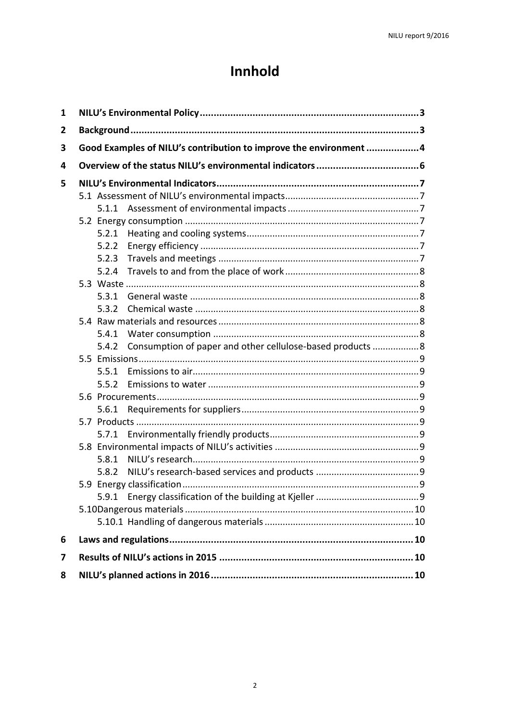# Innhold

| 1 |                                                                   |       |                                                            |  |  |  |
|---|-------------------------------------------------------------------|-------|------------------------------------------------------------|--|--|--|
| 2 |                                                                   |       |                                                            |  |  |  |
| 3 | Good Examples of NILU's contribution to improve the environment 4 |       |                                                            |  |  |  |
| 4 |                                                                   |       |                                                            |  |  |  |
| 5 |                                                                   |       |                                                            |  |  |  |
|   |                                                                   |       |                                                            |  |  |  |
|   |                                                                   |       |                                                            |  |  |  |
|   |                                                                   |       |                                                            |  |  |  |
|   |                                                                   | 5.2.1 |                                                            |  |  |  |
|   |                                                                   | 5.2.2 |                                                            |  |  |  |
|   |                                                                   | 5.2.3 |                                                            |  |  |  |
|   |                                                                   | 5.2.4 |                                                            |  |  |  |
|   |                                                                   |       |                                                            |  |  |  |
|   |                                                                   | 5.3.1 |                                                            |  |  |  |
|   |                                                                   | 5.3.2 |                                                            |  |  |  |
|   |                                                                   |       |                                                            |  |  |  |
|   |                                                                   |       |                                                            |  |  |  |
|   |                                                                   | 5.4.2 | Consumption of paper and other cellulose-based products  8 |  |  |  |
|   |                                                                   |       |                                                            |  |  |  |
|   |                                                                   | 5.5.1 |                                                            |  |  |  |
|   |                                                                   |       |                                                            |  |  |  |
|   |                                                                   |       |                                                            |  |  |  |
|   |                                                                   |       |                                                            |  |  |  |
|   |                                                                   |       |                                                            |  |  |  |
|   |                                                                   |       |                                                            |  |  |  |
|   |                                                                   |       |                                                            |  |  |  |
|   |                                                                   | 5.8.1 |                                                            |  |  |  |
|   |                                                                   | 5.8.2 |                                                            |  |  |  |
|   |                                                                   |       |                                                            |  |  |  |
|   |                                                                   |       |                                                            |  |  |  |
|   |                                                                   |       |                                                            |  |  |  |
|   |                                                                   |       |                                                            |  |  |  |
| 6 |                                                                   |       |                                                            |  |  |  |
| 7 |                                                                   |       |                                                            |  |  |  |
| 8 |                                                                   |       |                                                            |  |  |  |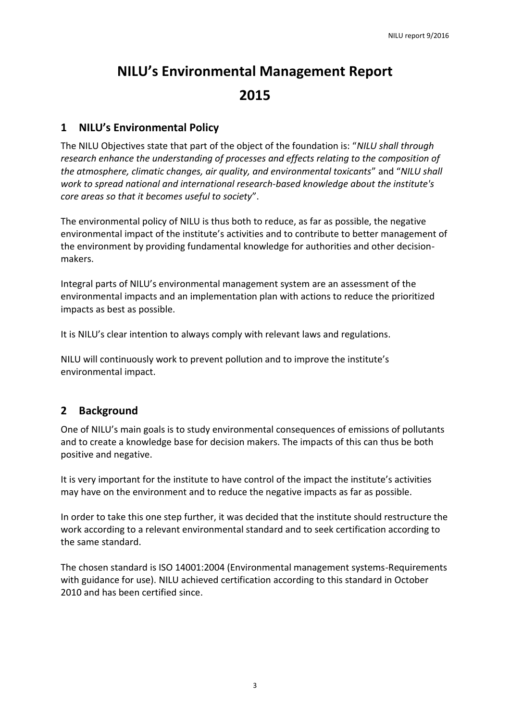# **NILU's Environmental Management Report 2015**

### <span id="page-3-0"></span>**1 NILU's Environmental Policy**

The NILU Objectives state that part of the object of the foundation is: "*NILU shall through research enhance the understanding of processes and effects relating to the composition of the atmosphere, climatic changes, air quality, and environmental toxicants*" and "*NILU shall work to spread national and international research-based knowledge about the institute's core areas so that it becomes useful to society*".

The environmental policy of NILU is thus both to reduce, as far as possible, the negative environmental impact of the institute's activities and to contribute to better management of the environment by providing fundamental knowledge for authorities and other decisionmakers.

Integral parts of NILU's environmental management system are an assessment of the environmental impacts and an implementation plan with actions to reduce the prioritized impacts as best as possible.

It is NILU's clear intention to always comply with relevant laws and regulations.

NILU will continuously work to prevent pollution and to improve the institute's environmental impact.

### <span id="page-3-1"></span>**2 Background**

One of NILU's main goals is to study environmental consequences of emissions of pollutants and to create a knowledge base for decision makers. The impacts of this can thus be both positive and negative.

It is very important for the institute to have control of the impact the institute's activities may have on the environment and to reduce the negative impacts as far as possible.

In order to take this one step further, it was decided that the institute should restructure the work according to a relevant environmental standard and to seek certification according to the same standard.

The chosen standard is ISO 14001:2004 (Environmental management systems-Requirements with guidance for use). NILU achieved certification according to this standard in October 2010 and has been certified since.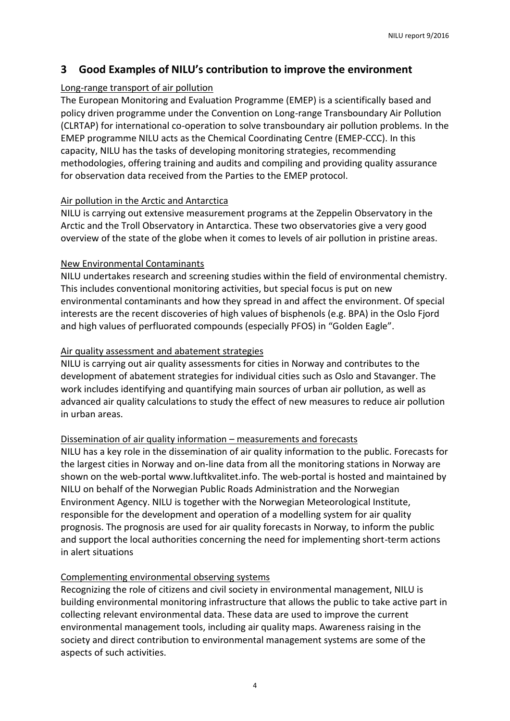## <span id="page-4-0"></span>**3 Good Examples of NILU's contribution to improve the environment**

#### Long-range transport of air pollution

The European Monitoring and Evaluation Programme (EMEP) is a scientifically based and policy driven programme under the Convention on Long-range Transboundary Air Pollution (CLRTAP) for international co-operation to solve transboundary air pollution problems. In the EMEP programme NILU acts as the Chemical Coordinating Centre (EMEP-CCC). In this capacity, NILU has the tasks of developing monitoring strategies, recommending methodologies, offering training and audits and compiling and providing quality assurance for observation data received from the Parties to the EMEP protocol.

#### Air pollution in the Arctic and Antarctica

NILU is carrying out extensive measurement programs at the Zeppelin Observatory in the Arctic and the Troll Observatory in Antarctica. These two observatories give a very good overview of the state of the globe when it comes to levels of air pollution in pristine areas.

#### New Environmental Contaminants

NILU undertakes research and screening studies within the field of environmental chemistry. This includes conventional monitoring activities, but special focus is put on new environmental contaminants and how they spread in and affect the environment. Of special interests are the recent discoveries of high values of bisphenols (e.g. BPA) in the Oslo Fjord and high values of perfluorated compounds (especially PFOS) in "Golden Eagle".

#### Air quality assessment and abatement strategies

NILU is carrying out air quality assessments for cities in Norway and contributes to the development of abatement strategies for individual cities such as Oslo and Stavanger. The work includes identifying and quantifying main sources of urban air pollution, as well as advanced air quality calculations to study the effect of new measures to reduce air pollution in urban areas.

#### Dissemination of air quality information – measurements and forecasts

NILU has a key role in the dissemination of air quality information to the public. Forecasts for the largest cities in Norway and on-line data from all the monitoring stations in Norway are shown on the web-porta[l www.luftkvalitet.info.](http://www.luftkvalitet.info/) The web-portal is hosted and maintained by NILU on behalf of the Norwegian Public Roads Administration and the Norwegian Environment Agency. NILU is together with the Norwegian Meteorological Institute, responsible for the development and operation of a modelling system for air quality prognosis. The prognosis are used for air quality forecasts in Norway, to inform the public and support the local authorities concerning the need for implementing short-term actions in alert situations

#### Complementing environmental observing systems

Recognizing the role of citizens and civil society in environmental management, NILU is building environmental monitoring infrastructure that allows the public to take active part in collecting relevant environmental data. These data are used to improve the current environmental management tools, including air quality maps. Awareness raising in the society and direct contribution to environmental management systems are some of the aspects of such activities.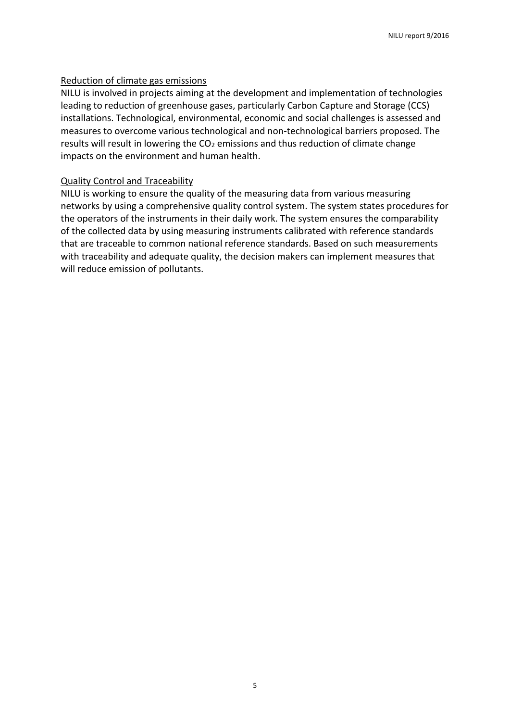#### Reduction of climate gas emissions

NILU is involved in projects aiming at the development and implementation of technologies leading to reduction of greenhouse gases, particularly Carbon Capture and Storage (CCS) installations. Technological, environmental, economic and social challenges is assessed and measures to overcome various technological and non-technological barriers proposed. The results will result in lowering the  $CO<sub>2</sub>$  emissions and thus reduction of climate change impacts on the environment and human health.

#### Quality Control and Traceability

NILU is working to ensure the quality of the measuring data from various measuring networks by using a comprehensive quality control system. The system states procedures for the operators of the instruments in their daily work. The system ensures the comparability of the collected data by using measuring instruments calibrated with reference standards that are traceable to common national reference standards. Based on such measurements with traceability and adequate quality, the decision makers can implement measures that will reduce emission of pollutants.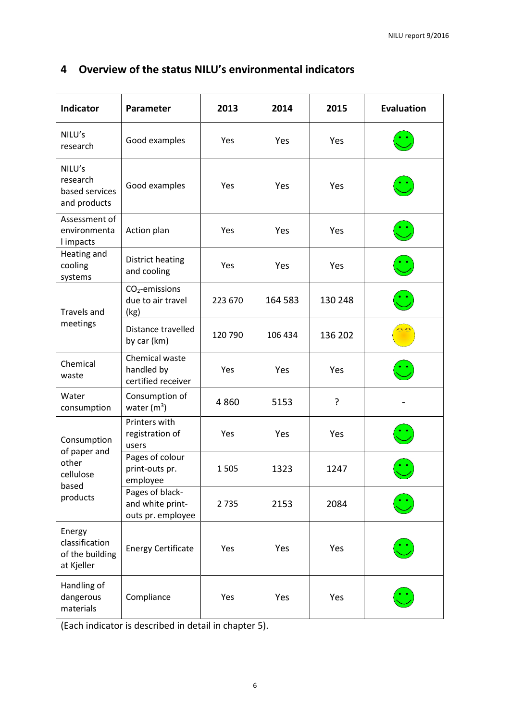| <b>Indicator</b>                                                       | Parameter                                                | 2013    | 2014    | 2015    | <b>Evaluation</b> |
|------------------------------------------------------------------------|----------------------------------------------------------|---------|---------|---------|-------------------|
| NILU's<br>research                                                     | Good examples                                            | Yes     | Yes     | Yes     |                   |
| NILU's<br>research<br>based services<br>and products                   | Good examples                                            | Yes     | Yes     | Yes     |                   |
| Assessment of<br>environmenta<br>I impacts                             | Action plan                                              | Yes     | Yes     | Yes     |                   |
| Heating and<br>cooling<br>systems                                      | <b>District heating</b><br>and cooling                   | Yes     | Yes     | Yes     |                   |
| <b>Travels and</b><br>meetings                                         | $CO2$ -emissions<br>due to air travel<br>(kg)            | 223 670 | 164 583 | 130 248 |                   |
|                                                                        | Distance travelled<br>by car (km)                        | 120 790 | 106 434 | 136 202 |                   |
| Chemical<br>waste                                                      | Chemical waste<br>handled by<br>certified receiver       | Yes     | Yes     | Yes     |                   |
| Water<br>consumption                                                   | Consumption of<br>water $(m^3)$                          | 4860    | 5153    | ?       |                   |
| Consumption<br>of paper and<br>other<br>cellulose<br>based<br>products | Printers with<br>registration of<br>users                | Yes     | Yes     | Yes     |                   |
|                                                                        | Pages of colour<br>print-outs pr.<br>employee            | 1505    | 1323    | 1247    |                   |
|                                                                        | Pages of black-<br>and white print-<br>outs pr. employee | 2 7 3 5 | 2153    | 2084    |                   |
| Energy<br>classification<br>of the building<br>at Kjeller              | <b>Energy Certificate</b>                                | Yes     | Yes     | Yes     |                   |
| Handling of<br>dangerous<br>materials                                  | Compliance                                               | Yes     | Yes     | Yes     |                   |

# <span id="page-6-0"></span>**4 Overview of the status NILU's environmental indicators**

(Each indicator is described in detail in chapter 5).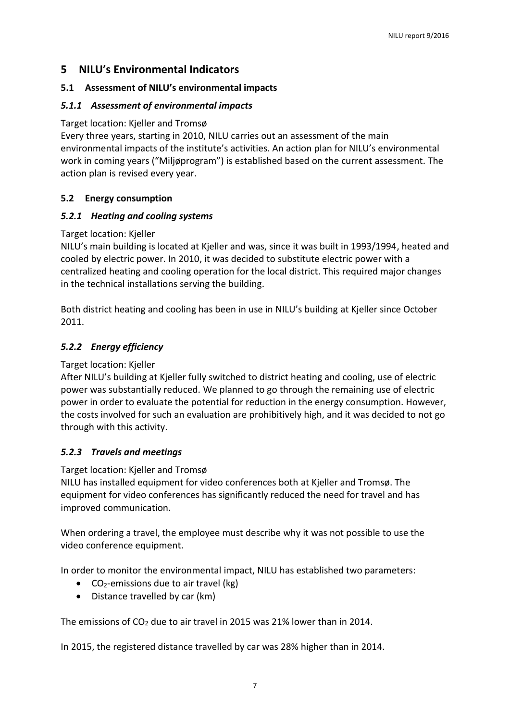#### <span id="page-7-0"></span>**5 NILU's Environmental Indicators**

#### <span id="page-7-1"></span>**5.1 Assessment of NILU's environmental impacts**

#### <span id="page-7-2"></span>*5.1.1 Assessment of environmental impacts*

#### Target location: Kjeller and Tromsø

Every three years, starting in 2010, NILU carries out an assessment of the main environmental impacts of the institute's activities. An action plan for NILU's environmental work in coming years ("Miljøprogram") is established based on the current assessment. The action plan is revised every year.

#### <span id="page-7-3"></span>**5.2 Energy consumption**

#### <span id="page-7-4"></span>*5.2.1 Heating and cooling systems*

#### Target location: Kjeller

NILU's main building is located at Kjeller and was, since it was built in 1993/1994, heated and cooled by electric power. In 2010, it was decided to substitute electric power with a centralized heating and cooling operation for the local district. This required major changes in the technical installations serving the building.

Both district heating and cooling has been in use in NILU's building at Kjeller since October 2011.

#### <span id="page-7-5"></span>*5.2.2 Energy efficiency*

#### Target location: Kjeller

After NILU's building at Kjeller fully switched to district heating and cooling, use of electric power was substantially reduced. We planned to go through the remaining use of electric power in order to evaluate the potential for reduction in the energy consumption. However, the costs involved for such an evaluation are prohibitively high, and it was decided to not go through with this activity.

#### <span id="page-7-6"></span>*5.2.3 Travels and meetings*

#### Target location: Kjeller and Tromsø

NILU has installed equipment for video conferences both at Kjeller and Tromsø. The equipment for video conferences has significantly reduced the need for travel and has improved communication.

When ordering a travel, the employee must describe why it was not possible to use the video conference equipment.

In order to monitor the environmental impact, NILU has established two parameters:

- $\bullet$  CO<sub>2</sub>-emissions due to air travel (kg)
- Distance travelled by car (km)

The emissions of CO<sub>2</sub> due to air travel in 2015 was 21% lower than in 2014.

In 2015, the registered distance travelled by car was 28% higher than in 2014.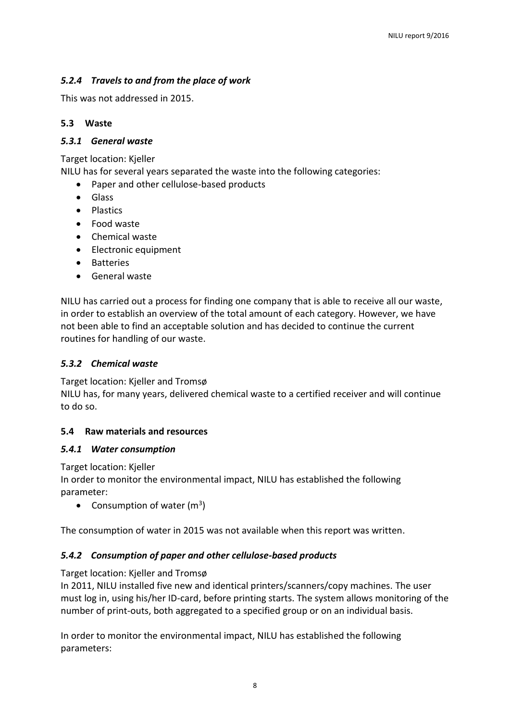#### <span id="page-8-0"></span>*5.2.4 Travels to and from the place of work*

This was not addressed in 2015.

#### <span id="page-8-1"></span>**5.3 Waste**

#### <span id="page-8-2"></span>*5.3.1 General waste*

Target location: Kjeller

NILU has for several years separated the waste into the following categories:

- Paper and other cellulose-based products
- Glass
- Plastics
- Food waste
- Chemical waste
- Electronic equipment
- Batteries
- General waste

NILU has carried out a process for finding one company that is able to receive all our waste, in order to establish an overview of the total amount of each category. However, we have not been able to find an acceptable solution and has decided to continue the current routines for handling of our waste.

#### <span id="page-8-3"></span>*5.3.2 Chemical waste*

Target location: Kjeller and Tromsø

NILU has, for many years, delivered chemical waste to a certified receiver and will continue to do so.

#### <span id="page-8-4"></span>**5.4 Raw materials and resources**

#### <span id="page-8-5"></span>*5.4.1 Water consumption*

Target location: Kjeller

In order to monitor the environmental impact, NILU has established the following parameter:

• Consumption of water  $(m^3)$ 

The consumption of water in 2015 was not available when this report was written.

#### <span id="page-8-6"></span>*5.4.2 Consumption of paper and other cellulose-based products*

#### Target location: Kjeller and Tromsø

In 2011, NILU installed five new and identical printers/scanners/copy machines. The user must log in, using his/her ID-card, before printing starts. The system allows monitoring of the number of print-outs, both aggregated to a specified group or on an individual basis.

In order to monitor the environmental impact, NILU has established the following parameters: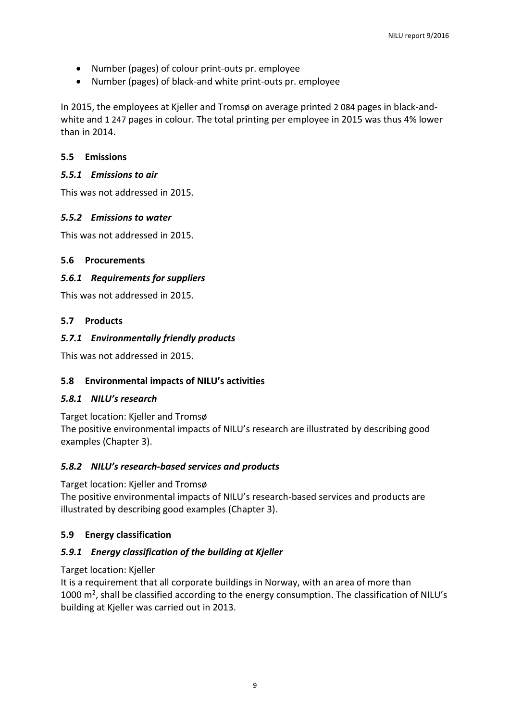- Number (pages) of colour print-outs pr. employee
- Number (pages) of black-and white print-outs pr. employee

In 2015, the employees at Kjeller and Tromsø on average printed 2 084 pages in black-andwhite and 1 247 pages in colour. The total printing per employee in 2015 was thus 4% lower than in 2014.

#### <span id="page-9-0"></span>**5.5 Emissions**

#### <span id="page-9-1"></span>*5.5.1 Emissions to air*

This was not addressed in 2015.

#### <span id="page-9-2"></span>*5.5.2 Emissions to water*

This was not addressed in 2015.

#### <span id="page-9-3"></span>**5.6 Procurements**

#### <span id="page-9-4"></span>*5.6.1 Requirements for suppliers*

This was not addressed in 2015.

#### <span id="page-9-5"></span>**5.7 Products**

#### <span id="page-9-6"></span>*5.7.1 Environmentally friendly products*

This was not addressed in 2015.

#### <span id="page-9-7"></span>**5.8 Environmental impacts of NILU's activities**

#### <span id="page-9-8"></span>*5.8.1 NILU's research*

Target location: Kjeller and Tromsø The positive environmental impacts of NILU's research are illustrated by describing good examples (Chapter 3).

#### <span id="page-9-9"></span>*5.8.2 NILU's research-based services and products*

Target location: Kjeller and Tromsø

The positive environmental impacts of NILU's research-based services and products are illustrated by describing good examples (Chapter 3).

#### <span id="page-9-10"></span>**5.9 Energy classification**

#### <span id="page-9-11"></span>*5.9.1 Energy classification of the building at Kjeller*

#### Target location: Kjeller

It is a requirement that all corporate buildings in Norway, with an area of more than 1000  $\text{m}^2$ , shall be classified according to the energy consumption. The classification of NILU's building at Kjeller was carried out in 2013.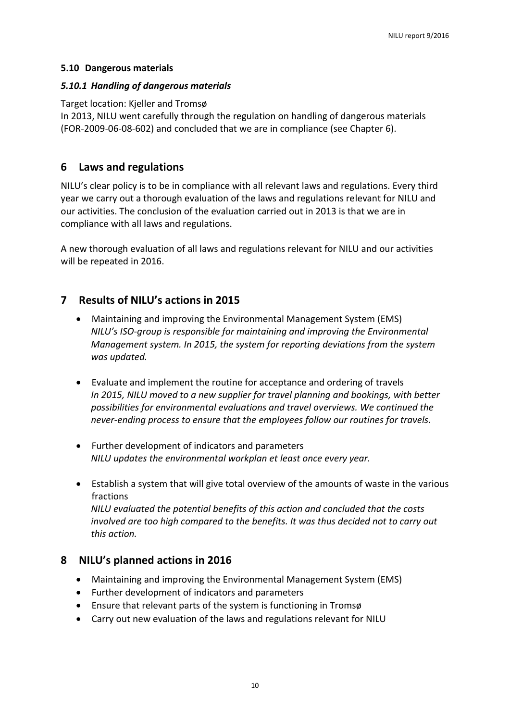#### <span id="page-10-0"></span>**5.10 Dangerous materials**

#### <span id="page-10-1"></span>*5.10.1 Handling of dangerous materials*

#### Target location: Kjeller and Tromsø

In 2013, NILU went carefully through the regulation on handling of dangerous materials (FOR-2009-06-08-602) and concluded that we are in compliance (see Chapter 6).

#### <span id="page-10-2"></span>**6 Laws and regulations**

NILU's clear policy is to be in compliance with all relevant laws and regulations. Every third year we carry out a thorough evaluation of the laws and regulations relevant for NILU and our activities. The conclusion of the evaluation carried out in 2013 is that we are in compliance with all laws and regulations.

A new thorough evaluation of all laws and regulations relevant for NILU and our activities will be repeated in 2016.

### <span id="page-10-3"></span>**7 Results of NILU's actions in 2015**

- Maintaining and improving the Environmental Management System (EMS) *NILU's ISO-group is responsible for maintaining and improving the Environmental Management system. In 2015, the system for reporting deviations from the system was updated.*
- Evaluate and implement the routine for acceptance and ordering of travels *In 2015, NILU moved to a new supplier for travel planning and bookings, with better possibilities for environmental evaluations and travel overviews. We continued the never-ending process to ensure that the employees follow our routines for travels.*
- Further development of indicators and parameters *NILU updates the environmental workplan et least once every year.*
- Establish a system that will give total overview of the amounts of waste in the various fractions *NILU evaluated the potential benefits of this action and concluded that the costs involved are too high compared to the benefits. It was thus decided not to carry out this action.*

#### <span id="page-10-4"></span>**8 NILU's planned actions in 2016**

- Maintaining and improving the Environmental Management System (EMS)
- Further development of indicators and parameters
- Ensure that relevant parts of the system is functioning in Tromsø
- Carry out new evaluation of the laws and regulations relevant for NILU